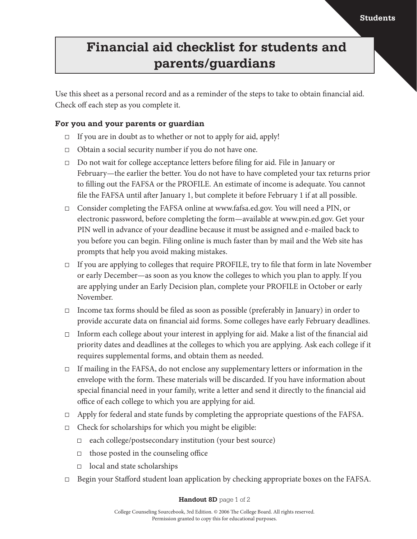## **Financial aid checklist for students and parents/guardians**

Use this sheet as a personal record and as a reminder of the steps to take to obtain financial aid. Check off each step as you complete it.

### **For you and your parents or guardian**

- $\Box$  If you are in doubt as to whether or not to apply for aid, apply!
- $\Box$  Obtain a social security number if you do not have one.
- $\Box$  Do not wait for college acceptance letters before filing for aid. File in January or February—the earlier the better. You do not have to have completed your tax returns prior to filling out the FAFSA or the PROFILE. An estimate of income is adequate. You cannot file the FAFSA until after January 1, but complete it before February 1 if at all possible.
- □ Consider completing the FAFSA online at www.fafsa.ed.gov. You will need a PIN, or electronic password, before completing the form—available at www.pin.ed.gov. Get your PIN well in advance of your deadline because it must be assigned and e-mailed back to you before you can begin. Filing online is much faster than by mail and the Web site has prompts that help you avoid making mistakes.
- If you are applying to colleges that require PROFILE, try to file that form in late November or early December—as soon as you know the colleges to which you plan to apply. If you are applying under an Early Decision plan, complete your PROFILE in October or early November.
- $\Box$  Income tax forms should be filed as soon as possible (preferably in January) in order to provide accurate data on financial aid forms. Some colleges have early February deadlines.
- $\Box$  Inform each college about your interest in applying for aid. Make a list of the financial aid priority dates and deadlines at the colleges to which you are applying. Ask each college if it requires supplemental forms, and obtain them as needed.
- If mailing in the FAFSA, do not enclose any supplementary letters or information in the envelope with the form. These materials will be discarded. If you have information about special financial need in your family, write a letter and send it directly to the financial aid office of each college to which you are applying for aid.
- $\Box$  Apply for federal and state funds by completing the appropriate questions of the FAFSA.
- $\Box$  Check for scholarships for which you might be eligible:
	- $\Box$  each college/postsecondary institution (your best source)
	- $\Box$  those posted in the counseling office
	- $\Box$  local and state scholarships
- □ Begin your Stafford student loan application by checking appropriate boxes on the FAFSA.

#### **Handout 8D** page 1 of 2